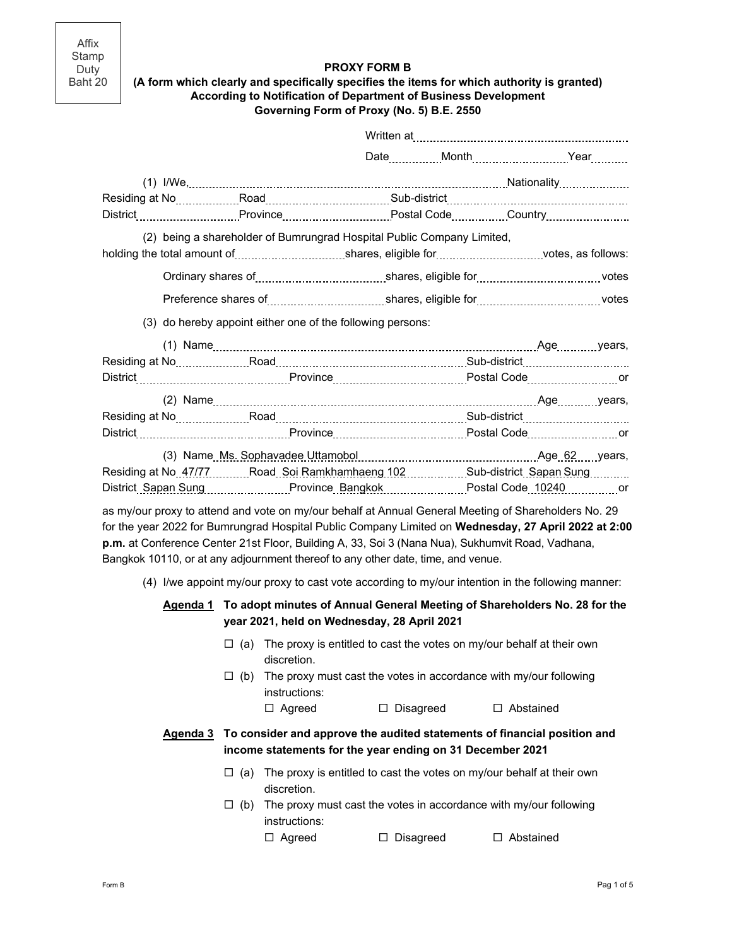Affix Stamp Duty Baht 20

### **PROXY FORM B**

### **(A form which clearly and specifically specifies the items for which authority is granted) According to Notification of Department of Business Development Governing Form of Proxy (No. 5) B.E. 2550**

|  |                                                                                                                                                                                                              | Date ___________ Month ________________________Year _________ |  |  |
|--|--------------------------------------------------------------------------------------------------------------------------------------------------------------------------------------------------------------|---------------------------------------------------------------|--|--|
|  |                                                                                                                                                                                                              |                                                               |  |  |
|  |                                                                                                                                                                                                              |                                                               |  |  |
|  |                                                                                                                                                                                                              |                                                               |  |  |
|  | (2) being a shareholder of Bumrungrad Hospital Public Company Limited,                                                                                                                                       |                                                               |  |  |
|  |                                                                                                                                                                                                              |                                                               |  |  |
|  |                                                                                                                                                                                                              |                                                               |  |  |
|  |                                                                                                                                                                                                              |                                                               |  |  |
|  | (3) do hereby appoint either one of the following persons:                                                                                                                                                   |                                                               |  |  |
|  |                                                                                                                                                                                                              |                                                               |  |  |
|  |                                                                                                                                                                                                              |                                                               |  |  |
|  |                                                                                                                                                                                                              |                                                               |  |  |
|  |                                                                                                                                                                                                              |                                                               |  |  |
|  |                                                                                                                                                                                                              |                                                               |  |  |
|  |                                                                                                                                                                                                              |                                                               |  |  |
|  |                                                                                                                                                                                                              |                                                               |  |  |
|  | Residing at No. 47/77Road. Soi Ramkhamhaeng 102Sub-district. Sapan Sung                                                                                                                                      |                                                               |  |  |
|  | District_Sapan Sung Province_Bangkok Postal Code_10240 or                                                                                                                                                    |                                                               |  |  |
|  | as my/our proxy to attend and vote on my/our behalf at Annual General Meeting of Shareholders No. 29<br>for the year 2022 for Bumrungrad Hospital Public Company Limited on Wednesday, 27 April 2022 at 2:00 |                                                               |  |  |

**p.m.** at Conference Center 21st Floor, Building A, 33, Soi 3 (Nana Nua), Sukhumvit Road, Vadhana, Bangkok 10110, or at any adjournment thereof to any other date, time, and venue.

(4) I/we appoint my/our proxy to cast vote according to my/our intention in the following manner:

## **Agenda 1 To adopt minutes of Annual General Meeting of Shareholders No. 28 for the year 2021, held on Wednesday, 28 April 2021**

- $\Box$  (a) The proxy is entitled to cast the votes on my/our behalf at their own discretion.
- $\Box$  (b) The proxy must cast the votes in accordance with my/our following instructions:

□ Agreed □ Disagreed □ Abstained

# **Agenda 3 To consider and approve the audited statements of financial position and income statements for the year ending on 31 December 2021**

- $\Box$  (a) The proxy is entitled to cast the votes on my/our behalf at their own discretion.
- $\Box$  (b) The proxy must cast the votes in accordance with my/our following instructions:

□ Agreed □ Disagreed □ Abstained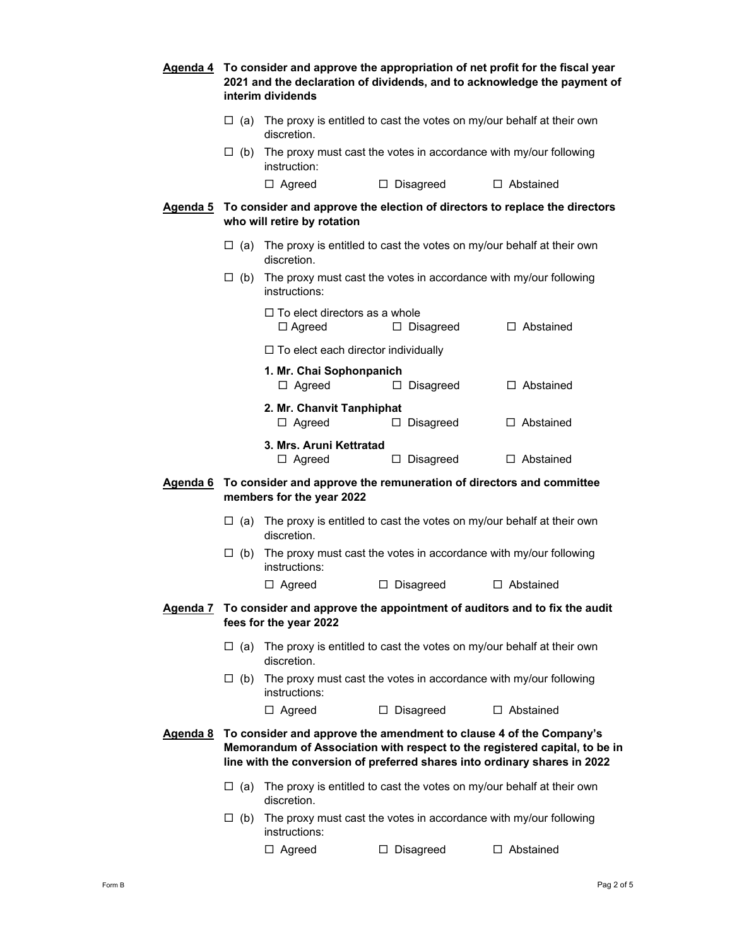|                                                                                                                     |                                                                                                                                                                                                                               | Agenda 4 To consider and approve the appropriation of net profit for the fiscal year<br>2021 and the declaration of dividends, and to acknowledge the payment of<br>interim dividends |                     |                                                                          |  |  |  |  |
|---------------------------------------------------------------------------------------------------------------------|-------------------------------------------------------------------------------------------------------------------------------------------------------------------------------------------------------------------------------|---------------------------------------------------------------------------------------------------------------------------------------------------------------------------------------|---------------------|--------------------------------------------------------------------------|--|--|--|--|
|                                                                                                                     |                                                                                                                                                                                                                               | $\Box$ (a) The proxy is entitled to cast the votes on my/our behalf at their own<br>discretion.                                                                                       |                     |                                                                          |  |  |  |  |
| The proxy must cast the votes in accordance with my/our following<br>$\Box$ (b)<br>instruction:                     |                                                                                                                                                                                                                               |                                                                                                                                                                                       |                     |                                                                          |  |  |  |  |
|                                                                                                                     |                                                                                                                                                                                                                               | $\Box$ Agreed                                                                                                                                                                         | $\Box$ Disagreed    | $\Box$ Abstained                                                         |  |  |  |  |
|                                                                                                                     |                                                                                                                                                                                                                               | <b>Agenda 5</b> To consider and approve the election of directors to replace the directors<br>who will retire by rotation                                                             |                     |                                                                          |  |  |  |  |
|                                                                                                                     |                                                                                                                                                                                                                               | $\Box$ (a) The proxy is entitled to cast the votes on my/our behalf at their own<br>discretion.                                                                                       |                     |                                                                          |  |  |  |  |
|                                                                                                                     | $\Box$ (b)                                                                                                                                                                                                                    | The proxy must cast the votes in accordance with my/our following<br>instructions:                                                                                                    |                     |                                                                          |  |  |  |  |
|                                                                                                                     |                                                                                                                                                                                                                               | $\Box$ To elect directors as a whole<br>$\Box$ Agreed                                                                                                                                 | $\Box$ Disagreed    | $\Box$ Abstained                                                         |  |  |  |  |
|                                                                                                                     |                                                                                                                                                                                                                               | $\Box$ To elect each director individually                                                                                                                                            |                     |                                                                          |  |  |  |  |
|                                                                                                                     |                                                                                                                                                                                                                               | 1. Mr. Chai Sophonpanich<br>$\Box$ Agreed                                                                                                                                             | $\Box$ Disagreed    | $\Box$ Abstained                                                         |  |  |  |  |
|                                                                                                                     |                                                                                                                                                                                                                               | 2. Mr. Chanvit Tanphiphat<br>$\Box$ Agreed                                                                                                                                            | $\Box$ Disagreed    | $\Box$ Abstained                                                         |  |  |  |  |
|                                                                                                                     |                                                                                                                                                                                                                               | 3. Mrs. Aruni Kettratad<br>$\Box$ Agreed                                                                                                                                              | $\Box$ Disagreed    | $\Box$ Abstained                                                         |  |  |  |  |
| To consider and approve the remuneration of directors and committee<br><u>Agenda 6</u><br>members for the year 2022 |                                                                                                                                                                                                                               |                                                                                                                                                                                       |                     |                                                                          |  |  |  |  |
|                                                                                                                     |                                                                                                                                                                                                                               | $\Box$ (a) The proxy is entitled to cast the votes on my/our behalf at their own<br>discretion.                                                                                       |                     |                                                                          |  |  |  |  |
|                                                                                                                     | $\Box$ (b)                                                                                                                                                                                                                    | The proxy must cast the votes in accordance with my/our following<br>instructions:                                                                                                    |                     |                                                                          |  |  |  |  |
|                                                                                                                     |                                                                                                                                                                                                                               | $\Box$ Agreed                                                                                                                                                                         | $\square$ Disagreed | $\Box$ Abstained                                                         |  |  |  |  |
| <u>Agenda 7</u>                                                                                                     |                                                                                                                                                                                                                               | fees for the year 2022                                                                                                                                                                |                     | To consider and approve the appointment of auditors and to fix the audit |  |  |  |  |
|                                                                                                                     | $\Box$ (a)                                                                                                                                                                                                                    | The proxy is entitled to cast the votes on my/our behalf at their own<br>discretion.                                                                                                  |                     |                                                                          |  |  |  |  |
|                                                                                                                     | $\Box$ (b)                                                                                                                                                                                                                    | instructions:                                                                                                                                                                         |                     | The proxy must cast the votes in accordance with my/our following        |  |  |  |  |
|                                                                                                                     |                                                                                                                                                                                                                               | $\Box$ Agreed                                                                                                                                                                         | $\Box$ Disagreed    | $\Box$ Abstained                                                         |  |  |  |  |
| <u>Agenda 8</u>                                                                                                     | To consider and approve the amendment to clause 4 of the Company's<br>Memorandum of Association with respect to the registered capital, to be in<br>line with the conversion of preferred shares into ordinary shares in 2022 |                                                                                                                                                                                       |                     |                                                                          |  |  |  |  |
|                                                                                                                     | $\Box$ (a)                                                                                                                                                                                                                    | discretion.                                                                                                                                                                           |                     | The proxy is entitled to cast the votes on my/our behalf at their own    |  |  |  |  |
|                                                                                                                     | $\Box$ (b)                                                                                                                                                                                                                    | The proxy must cast the votes in accordance with my/our following<br>instructions:                                                                                                    |                     |                                                                          |  |  |  |  |
|                                                                                                                     |                                                                                                                                                                                                                               | $\Box$ Agreed                                                                                                                                                                         | Disagreed<br>⊔      | □ Abstained                                                              |  |  |  |  |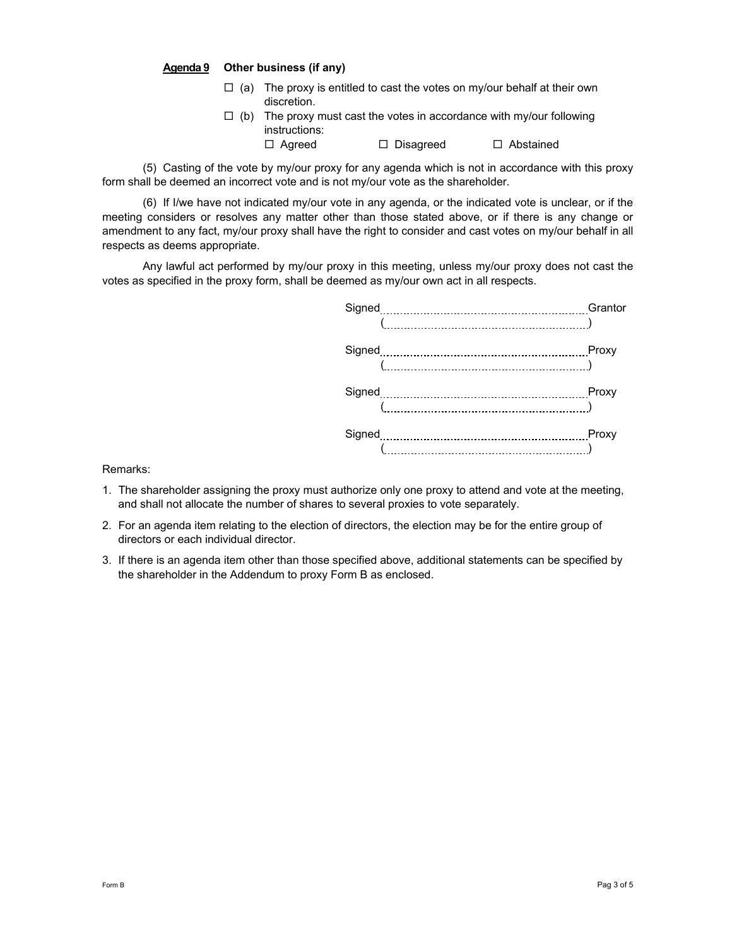#### **Agenda 9 Other business (if any)**

- $\Box$  (a) The proxy is entitled to cast the votes on my/our behalf at their own discretion.
- $\Box$  (b) The proxy must cast the votes in accordance with my/our following instructions: □ Agreed □ Disagreed □ Abstained

(5) Casting of the vote by my/our proxy for any agenda which is not in accordance with this proxy form shall be deemed an incorrect vote and is not my/our vote as the shareholder.

(6) If I/we have not indicated my/our vote in any agenda, or the indicated vote is unclear, or if the meeting considers or resolves any matter other than those stated above, or if there is any change or amendment to any fact, my/our proxy shall have the right to consider and cast votes on my/our behalf in all respects as deems appropriate.

Any lawful act performed by my/our proxy in this meeting, unless my/our proxy does not cast the votes as specified in the proxy form, shall be deemed as my/our own act in all respects.

| Signed | Grantor |
|--------|---------|
|        |         |
|        | Proxy   |
|        |         |
|        | Proxy   |
|        |         |
|        | Proxy   |
|        |         |
|        |         |

Remarks:

- 1. The shareholder assigning the proxy must authorize only one proxy to attend and vote at the meeting, and shall not allocate the number of shares to several proxies to vote separately.
- 2. For an agenda item relating to the election of directors, the election may be for the entire group of directors or each individual director.
- 3. If there is an agenda item other than those specified above, additional statements can be specified by the shareholder in the Addendum to proxy Form B as enclosed.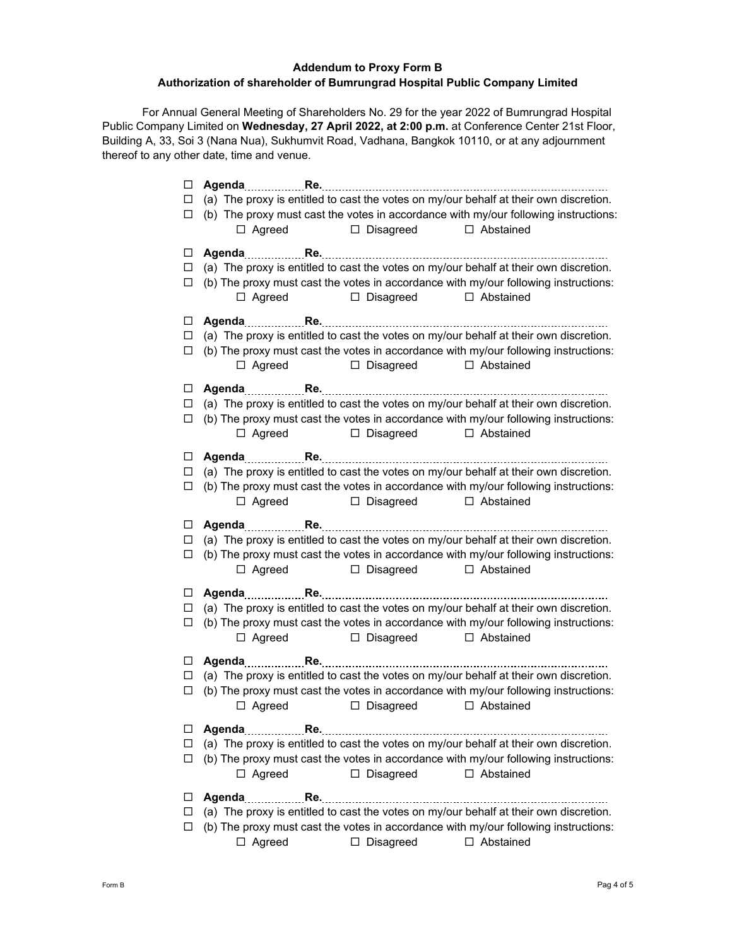# **Addendum to Proxy Form B Authorization of shareholder of Bumrungrad Hospital Public Company Limited**

For Annual General Meeting of Shareholders No. 29 for the year 2022 of Bumrungrad Hospital Public Company Limited on **Wednesday, 27 April 2022, at 2:00 p.m.** at Conference Center 21st Floor, Building A, 33, Soi 3 (Nana Nua), Sukhumvit Road, Vadhana, Bangkok 10110, or at any adjournment thereof to any other date, time and venue.

| (a) The proxy is entitled to cast the votes on my/our behalf at their own discretion.<br>$\Box$<br>(b) The proxy must cast the votes in accordance with my/our following instructions:<br>□<br>□ Disagreed □ Abstained<br>$\Box$ Agreed<br>□<br>(a) The proxy is entitled to cast the votes on my/our behalf at their own discretion.<br>□<br>(b) The proxy must cast the votes in accordance with my/our following instructions:<br>□<br>$\Box$ Agreed<br>□ Disagreed<br>□ Abstained<br>$\Box$<br>(a) The proxy is entitled to cast the votes on my/our behalf at their own discretion.<br>□<br>(b) The proxy must cast the votes in accordance with my/our following instructions:<br>□<br>$\Box$ Agreed<br>□ Disagreed<br>□ Abstained<br>ш<br>(a) The proxy is entitled to cast the votes on my/our behalf at their own discretion.<br>□<br>(b) The proxy must cast the votes in accordance with my/our following instructions:<br>□<br>□ Agreed □ Disagreed □ Abstained<br>$\Box$<br>(a) The proxy is entitled to cast the votes on my/our behalf at their own discretion.<br>□<br>(b) The proxy must cast the votes in accordance with my/our following instructions:<br>$\Box$<br>□ Agreed □ Disagreed □ Abstained<br>□<br>(a) The proxy is entitled to cast the votes on my/our behalf at their own discretion.<br>$\Box$<br>(b) The proxy must cast the votes in accordance with my/our following instructions:<br>□<br>Disagreed<br>$\Box$ Agreed<br>□ Abstained<br>$\Box$<br>(a) The proxy is entitled to cast the votes on my/our behalf at their own discretion.<br>□<br>(b) The proxy must cast the votes in accordance with my/our following instructions:<br>$\Box$<br>□ Agreed □ Disagreed<br>$\Box$ Abstained<br>$\Box$<br>(a) The proxy is entitled to cast the votes on my/our behalf at their own discretion.<br>$\Box$<br>(b) The proxy must cast the votes in accordance with my/our following instructions:<br>$\Box$<br>□ Agreed □ Disagreed □ Abstained<br>□<br>(a) The proxy is entitled to cast the votes on my/our behalf at their own discretion.<br>□<br>(b) The proxy must cast the votes in accordance with my/our following instructions:<br>□ |
|---------------------------------------------------------------------------------------------------------------------------------------------------------------------------------------------------------------------------------------------------------------------------------------------------------------------------------------------------------------------------------------------------------------------------------------------------------------------------------------------------------------------------------------------------------------------------------------------------------------------------------------------------------------------------------------------------------------------------------------------------------------------------------------------------------------------------------------------------------------------------------------------------------------------------------------------------------------------------------------------------------------------------------------------------------------------------------------------------------------------------------------------------------------------------------------------------------------------------------------------------------------------------------------------------------------------------------------------------------------------------------------------------------------------------------------------------------------------------------------------------------------------------------------------------------------------------------------------------------------------------------------------------------------------------------------------------------------------------------------------------------------------------------------------------------------------------------------------------------------------------------------------------------------------------------------------------------------------------------------------------------------------------------------------------------------------------------------------------------------------------------------------------------------------------------|
|                                                                                                                                                                                                                                                                                                                                                                                                                                                                                                                                                                                                                                                                                                                                                                                                                                                                                                                                                                                                                                                                                                                                                                                                                                                                                                                                                                                                                                                                                                                                                                                                                                                                                                                                                                                                                                                                                                                                                                                                                                                                                                                                                                                 |
|                                                                                                                                                                                                                                                                                                                                                                                                                                                                                                                                                                                                                                                                                                                                                                                                                                                                                                                                                                                                                                                                                                                                                                                                                                                                                                                                                                                                                                                                                                                                                                                                                                                                                                                                                                                                                                                                                                                                                                                                                                                                                                                                                                                 |
|                                                                                                                                                                                                                                                                                                                                                                                                                                                                                                                                                                                                                                                                                                                                                                                                                                                                                                                                                                                                                                                                                                                                                                                                                                                                                                                                                                                                                                                                                                                                                                                                                                                                                                                                                                                                                                                                                                                                                                                                                                                                                                                                                                                 |
|                                                                                                                                                                                                                                                                                                                                                                                                                                                                                                                                                                                                                                                                                                                                                                                                                                                                                                                                                                                                                                                                                                                                                                                                                                                                                                                                                                                                                                                                                                                                                                                                                                                                                                                                                                                                                                                                                                                                                                                                                                                                                                                                                                                 |
|                                                                                                                                                                                                                                                                                                                                                                                                                                                                                                                                                                                                                                                                                                                                                                                                                                                                                                                                                                                                                                                                                                                                                                                                                                                                                                                                                                                                                                                                                                                                                                                                                                                                                                                                                                                                                                                                                                                                                                                                                                                                                                                                                                                 |
|                                                                                                                                                                                                                                                                                                                                                                                                                                                                                                                                                                                                                                                                                                                                                                                                                                                                                                                                                                                                                                                                                                                                                                                                                                                                                                                                                                                                                                                                                                                                                                                                                                                                                                                                                                                                                                                                                                                                                                                                                                                                                                                                                                                 |
|                                                                                                                                                                                                                                                                                                                                                                                                                                                                                                                                                                                                                                                                                                                                                                                                                                                                                                                                                                                                                                                                                                                                                                                                                                                                                                                                                                                                                                                                                                                                                                                                                                                                                                                                                                                                                                                                                                                                                                                                                                                                                                                                                                                 |
|                                                                                                                                                                                                                                                                                                                                                                                                                                                                                                                                                                                                                                                                                                                                                                                                                                                                                                                                                                                                                                                                                                                                                                                                                                                                                                                                                                                                                                                                                                                                                                                                                                                                                                                                                                                                                                                                                                                                                                                                                                                                                                                                                                                 |
|                                                                                                                                                                                                                                                                                                                                                                                                                                                                                                                                                                                                                                                                                                                                                                                                                                                                                                                                                                                                                                                                                                                                                                                                                                                                                                                                                                                                                                                                                                                                                                                                                                                                                                                                                                                                                                                                                                                                                                                                                                                                                                                                                                                 |
|                                                                                                                                                                                                                                                                                                                                                                                                                                                                                                                                                                                                                                                                                                                                                                                                                                                                                                                                                                                                                                                                                                                                                                                                                                                                                                                                                                                                                                                                                                                                                                                                                                                                                                                                                                                                                                                                                                                                                                                                                                                                                                                                                                                 |
|                                                                                                                                                                                                                                                                                                                                                                                                                                                                                                                                                                                                                                                                                                                                                                                                                                                                                                                                                                                                                                                                                                                                                                                                                                                                                                                                                                                                                                                                                                                                                                                                                                                                                                                                                                                                                                                                                                                                                                                                                                                                                                                                                                                 |
|                                                                                                                                                                                                                                                                                                                                                                                                                                                                                                                                                                                                                                                                                                                                                                                                                                                                                                                                                                                                                                                                                                                                                                                                                                                                                                                                                                                                                                                                                                                                                                                                                                                                                                                                                                                                                                                                                                                                                                                                                                                                                                                                                                                 |
|                                                                                                                                                                                                                                                                                                                                                                                                                                                                                                                                                                                                                                                                                                                                                                                                                                                                                                                                                                                                                                                                                                                                                                                                                                                                                                                                                                                                                                                                                                                                                                                                                                                                                                                                                                                                                                                                                                                                                                                                                                                                                                                                                                                 |
|                                                                                                                                                                                                                                                                                                                                                                                                                                                                                                                                                                                                                                                                                                                                                                                                                                                                                                                                                                                                                                                                                                                                                                                                                                                                                                                                                                                                                                                                                                                                                                                                                                                                                                                                                                                                                                                                                                                                                                                                                                                                                                                                                                                 |
|                                                                                                                                                                                                                                                                                                                                                                                                                                                                                                                                                                                                                                                                                                                                                                                                                                                                                                                                                                                                                                                                                                                                                                                                                                                                                                                                                                                                                                                                                                                                                                                                                                                                                                                                                                                                                                                                                                                                                                                                                                                                                                                                                                                 |
|                                                                                                                                                                                                                                                                                                                                                                                                                                                                                                                                                                                                                                                                                                                                                                                                                                                                                                                                                                                                                                                                                                                                                                                                                                                                                                                                                                                                                                                                                                                                                                                                                                                                                                                                                                                                                                                                                                                                                                                                                                                                                                                                                                                 |
|                                                                                                                                                                                                                                                                                                                                                                                                                                                                                                                                                                                                                                                                                                                                                                                                                                                                                                                                                                                                                                                                                                                                                                                                                                                                                                                                                                                                                                                                                                                                                                                                                                                                                                                                                                                                                                                                                                                                                                                                                                                                                                                                                                                 |
|                                                                                                                                                                                                                                                                                                                                                                                                                                                                                                                                                                                                                                                                                                                                                                                                                                                                                                                                                                                                                                                                                                                                                                                                                                                                                                                                                                                                                                                                                                                                                                                                                                                                                                                                                                                                                                                                                                                                                                                                                                                                                                                                                                                 |
|                                                                                                                                                                                                                                                                                                                                                                                                                                                                                                                                                                                                                                                                                                                                                                                                                                                                                                                                                                                                                                                                                                                                                                                                                                                                                                                                                                                                                                                                                                                                                                                                                                                                                                                                                                                                                                                                                                                                                                                                                                                                                                                                                                                 |
|                                                                                                                                                                                                                                                                                                                                                                                                                                                                                                                                                                                                                                                                                                                                                                                                                                                                                                                                                                                                                                                                                                                                                                                                                                                                                                                                                                                                                                                                                                                                                                                                                                                                                                                                                                                                                                                                                                                                                                                                                                                                                                                                                                                 |
|                                                                                                                                                                                                                                                                                                                                                                                                                                                                                                                                                                                                                                                                                                                                                                                                                                                                                                                                                                                                                                                                                                                                                                                                                                                                                                                                                                                                                                                                                                                                                                                                                                                                                                                                                                                                                                                                                                                                                                                                                                                                                                                                                                                 |
|                                                                                                                                                                                                                                                                                                                                                                                                                                                                                                                                                                                                                                                                                                                                                                                                                                                                                                                                                                                                                                                                                                                                                                                                                                                                                                                                                                                                                                                                                                                                                                                                                                                                                                                                                                                                                                                                                                                                                                                                                                                                                                                                                                                 |
|                                                                                                                                                                                                                                                                                                                                                                                                                                                                                                                                                                                                                                                                                                                                                                                                                                                                                                                                                                                                                                                                                                                                                                                                                                                                                                                                                                                                                                                                                                                                                                                                                                                                                                                                                                                                                                                                                                                                                                                                                                                                                                                                                                                 |
|                                                                                                                                                                                                                                                                                                                                                                                                                                                                                                                                                                                                                                                                                                                                                                                                                                                                                                                                                                                                                                                                                                                                                                                                                                                                                                                                                                                                                                                                                                                                                                                                                                                                                                                                                                                                                                                                                                                                                                                                                                                                                                                                                                                 |
|                                                                                                                                                                                                                                                                                                                                                                                                                                                                                                                                                                                                                                                                                                                                                                                                                                                                                                                                                                                                                                                                                                                                                                                                                                                                                                                                                                                                                                                                                                                                                                                                                                                                                                                                                                                                                                                                                                                                                                                                                                                                                                                                                                                 |
|                                                                                                                                                                                                                                                                                                                                                                                                                                                                                                                                                                                                                                                                                                                                                                                                                                                                                                                                                                                                                                                                                                                                                                                                                                                                                                                                                                                                                                                                                                                                                                                                                                                                                                                                                                                                                                                                                                                                                                                                                                                                                                                                                                                 |
|                                                                                                                                                                                                                                                                                                                                                                                                                                                                                                                                                                                                                                                                                                                                                                                                                                                                                                                                                                                                                                                                                                                                                                                                                                                                                                                                                                                                                                                                                                                                                                                                                                                                                                                                                                                                                                                                                                                                                                                                                                                                                                                                                                                 |
|                                                                                                                                                                                                                                                                                                                                                                                                                                                                                                                                                                                                                                                                                                                                                                                                                                                                                                                                                                                                                                                                                                                                                                                                                                                                                                                                                                                                                                                                                                                                                                                                                                                                                                                                                                                                                                                                                                                                                                                                                                                                                                                                                                                 |
|                                                                                                                                                                                                                                                                                                                                                                                                                                                                                                                                                                                                                                                                                                                                                                                                                                                                                                                                                                                                                                                                                                                                                                                                                                                                                                                                                                                                                                                                                                                                                                                                                                                                                                                                                                                                                                                                                                                                                                                                                                                                                                                                                                                 |
|                                                                                                                                                                                                                                                                                                                                                                                                                                                                                                                                                                                                                                                                                                                                                                                                                                                                                                                                                                                                                                                                                                                                                                                                                                                                                                                                                                                                                                                                                                                                                                                                                                                                                                                                                                                                                                                                                                                                                                                                                                                                                                                                                                                 |
|                                                                                                                                                                                                                                                                                                                                                                                                                                                                                                                                                                                                                                                                                                                                                                                                                                                                                                                                                                                                                                                                                                                                                                                                                                                                                                                                                                                                                                                                                                                                                                                                                                                                                                                                                                                                                                                                                                                                                                                                                                                                                                                                                                                 |
|                                                                                                                                                                                                                                                                                                                                                                                                                                                                                                                                                                                                                                                                                                                                                                                                                                                                                                                                                                                                                                                                                                                                                                                                                                                                                                                                                                                                                                                                                                                                                                                                                                                                                                                                                                                                                                                                                                                                                                                                                                                                                                                                                                                 |
|                                                                                                                                                                                                                                                                                                                                                                                                                                                                                                                                                                                                                                                                                                                                                                                                                                                                                                                                                                                                                                                                                                                                                                                                                                                                                                                                                                                                                                                                                                                                                                                                                                                                                                                                                                                                                                                                                                                                                                                                                                                                                                                                                                                 |
|                                                                                                                                                                                                                                                                                                                                                                                                                                                                                                                                                                                                                                                                                                                                                                                                                                                                                                                                                                                                                                                                                                                                                                                                                                                                                                                                                                                                                                                                                                                                                                                                                                                                                                                                                                                                                                                                                                                                                                                                                                                                                                                                                                                 |
|                                                                                                                                                                                                                                                                                                                                                                                                                                                                                                                                                                                                                                                                                                                                                                                                                                                                                                                                                                                                                                                                                                                                                                                                                                                                                                                                                                                                                                                                                                                                                                                                                                                                                                                                                                                                                                                                                                                                                                                                                                                                                                                                                                                 |
|                                                                                                                                                                                                                                                                                                                                                                                                                                                                                                                                                                                                                                                                                                                                                                                                                                                                                                                                                                                                                                                                                                                                                                                                                                                                                                                                                                                                                                                                                                                                                                                                                                                                                                                                                                                                                                                                                                                                                                                                                                                                                                                                                                                 |
|                                                                                                                                                                                                                                                                                                                                                                                                                                                                                                                                                                                                                                                                                                                                                                                                                                                                                                                                                                                                                                                                                                                                                                                                                                                                                                                                                                                                                                                                                                                                                                                                                                                                                                                                                                                                                                                                                                                                                                                                                                                                                                                                                                                 |
|                                                                                                                                                                                                                                                                                                                                                                                                                                                                                                                                                                                                                                                                                                                                                                                                                                                                                                                                                                                                                                                                                                                                                                                                                                                                                                                                                                                                                                                                                                                                                                                                                                                                                                                                                                                                                                                                                                                                                                                                                                                                                                                                                                                 |
| $\Box$ Agreed<br>$\Box$ Disagreed<br>$\Box$ Abstained                                                                                                                                                                                                                                                                                                                                                                                                                                                                                                                                                                                                                                                                                                                                                                                                                                                                                                                                                                                                                                                                                                                                                                                                                                                                                                                                                                                                                                                                                                                                                                                                                                                                                                                                                                                                                                                                                                                                                                                                                                                                                                                           |
| □                                                                                                                                                                                                                                                                                                                                                                                                                                                                                                                                                                                                                                                                                                                                                                                                                                                                                                                                                                                                                                                                                                                                                                                                                                                                                                                                                                                                                                                                                                                                                                                                                                                                                                                                                                                                                                                                                                                                                                                                                                                                                                                                                                               |
| (a) The proxy is entitled to cast the votes on my/our behalf at their own discretion.<br>□                                                                                                                                                                                                                                                                                                                                                                                                                                                                                                                                                                                                                                                                                                                                                                                                                                                                                                                                                                                                                                                                                                                                                                                                                                                                                                                                                                                                                                                                                                                                                                                                                                                                                                                                                                                                                                                                                                                                                                                                                                                                                      |
|                                                                                                                                                                                                                                                                                                                                                                                                                                                                                                                                                                                                                                                                                                                                                                                                                                                                                                                                                                                                                                                                                                                                                                                                                                                                                                                                                                                                                                                                                                                                                                                                                                                                                                                                                                                                                                                                                                                                                                                                                                                                                                                                                                                 |
| (b) The proxy must cast the votes in accordance with my/our following instructions:<br>□                                                                                                                                                                                                                                                                                                                                                                                                                                                                                                                                                                                                                                                                                                                                                                                                                                                                                                                                                                                                                                                                                                                                                                                                                                                                                                                                                                                                                                                                                                                                                                                                                                                                                                                                                                                                                                                                                                                                                                                                                                                                                        |